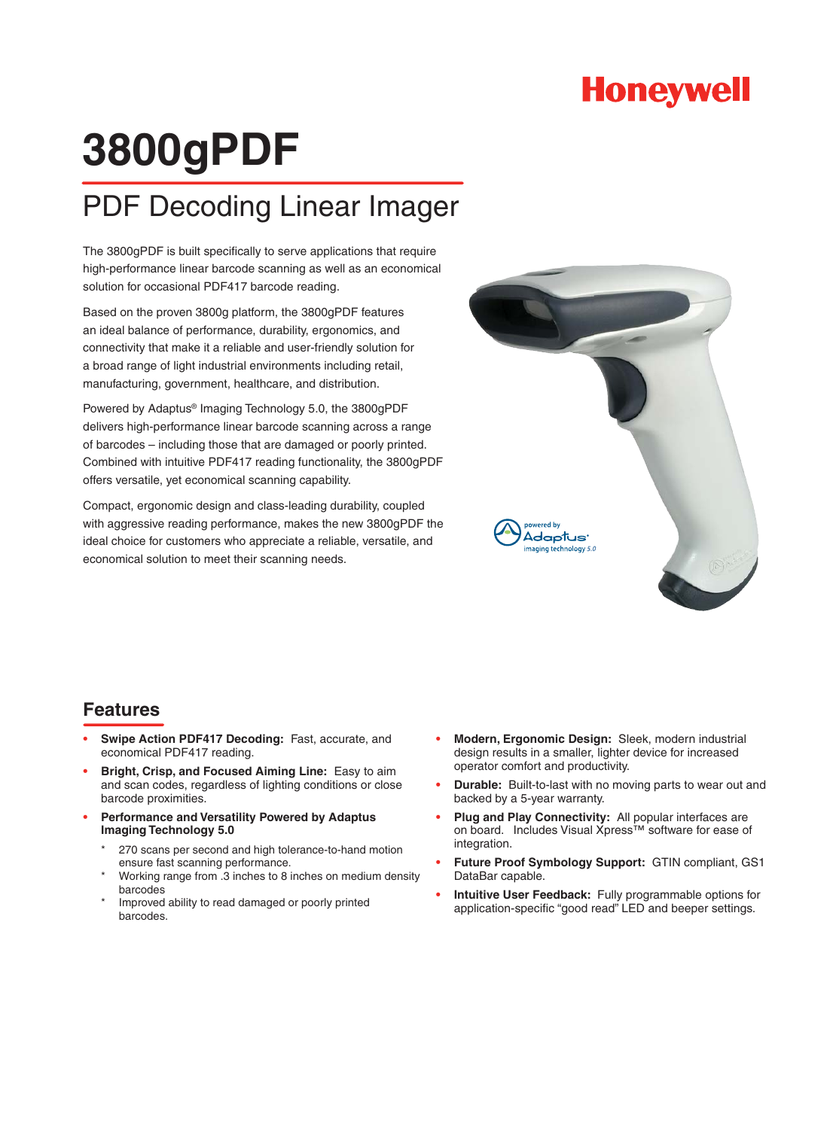

## **3800gPDF**

## PDF Decoding Linear Imager

The 3800gPDF is built specifically to serve applications that require high-performance linear barcode scanning as well as an economical solution for occasional PDF417 barcode reading.

Based on the proven 3800g platform, the 3800gPDF features an ideal balance of performance, durability, ergonomics, and connectivity that make it a reliable and user-friendly solution for a broad range of light industrial environments including retail, manufacturing, government, healthcare, and distribution.

Powered by Adaptus® Imaging Technology 5.0, the 3800gPDF delivers high-performance linear barcode scanning across a range of barcodes – including those that are damaged or poorly printed. Combined with intuitive PDF417 reading functionality, the 3800gPDF offers versatile, yet economical scanning capability.

Compact, ergonomic design and class-leading durability, coupled with aggressive reading performance, makes the new 3800gPDF the ideal choice for customers who appreciate a reliable, versatile, and economical solution to meet their scanning needs.



## **Features**

- **Swipe Action PDF417 Decoding:** Fast, accurate, and economical PDF417 reading. **•**
- **Bright, Crisp, and Focused Aiming Line:** Easy to aim and scan codes, regardless of lighting conditions or close barcode proximities. **•**
- **Performance and Versatility Powered by Adaptus Imaging Technology 5.0 •**
	- 270 scans per second and high tolerance-to-hand motion ensure fast scanning performance. \*
	- Working range from .3 inches to 8 inches on medium density barcodes \*
	- Improved ability to read damaged or poorly printed barcodes. \*
- **Modern, Ergonomic Design:** Sleek, modern industrial design results in a smaller, lighter device for increased operator comfort and productivity. **•**
- **Durable:** Built-to-last with no moving parts to wear out and backed by a 5-year warranty. **•**
- **Plug and Play Connectivity:** All popular interfaces are on board. Includes Visual Xpress™ software for ease of integration. **•**
- **Future Proof Symbology Support:** GTIN compliant, GS1 DataBar capable. **•**
- **Intuitive User Feedback:** Fully programmable options for application-specific "good read" LED and beeper settings. **•**